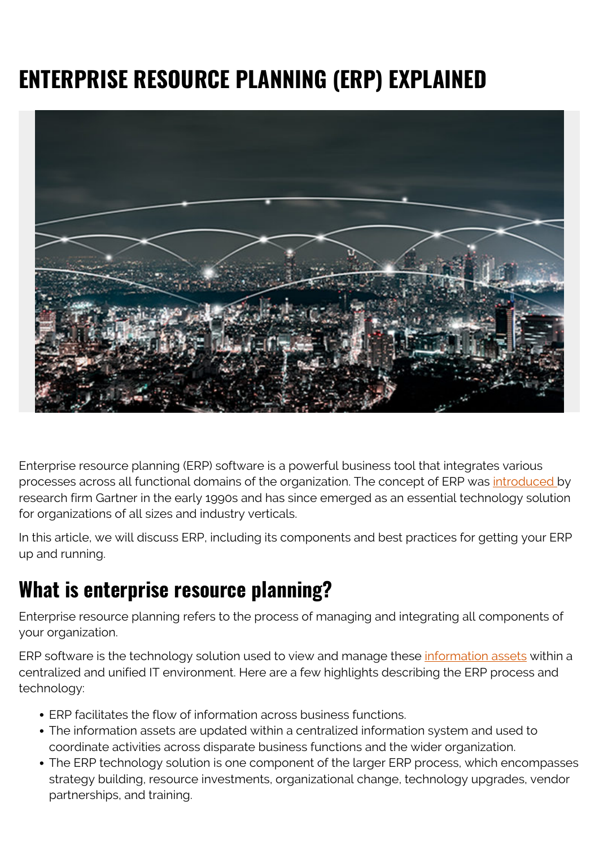# **ENTERPRISE RESOURCE PLANNING (ERP) EXPLAINED**



Enterprise resource planning (ERP) software is a powerful business tool that integrates various processes across all functional domains of the organization. The concept of ERP was [introduced b](https://balloonone.com/blog/2016/11/21/a-history-of-erp/)y research firm Gartner in the early 1990s and has since emerged as an essential technology solution for organizations of all sizes and industry verticals.

In this article, we will discuss ERP, including its components and best practices for getting your ERP up and running.

# **What is enterprise resource planning?**

Enterprise resource planning refers to the process of managing and integrating all components of your organization.

ERP software is the technology solution used to view and manage these [information assets](https://blogs.bmc.com/blogs/asset-management-vs-configuration-management/) within a centralized and unified IT environment. Here are a few highlights describing the ERP process and technology:

- ERP facilitates the flow of information across business functions.
- The information assets are updated within a centralized information system and used to coordinate activities across disparate business functions and the wider organization.
- The ERP technology solution is one component of the larger ERP process, which encompasses strategy building, resource investments, organizational change, technology upgrades, vendor partnerships, and training.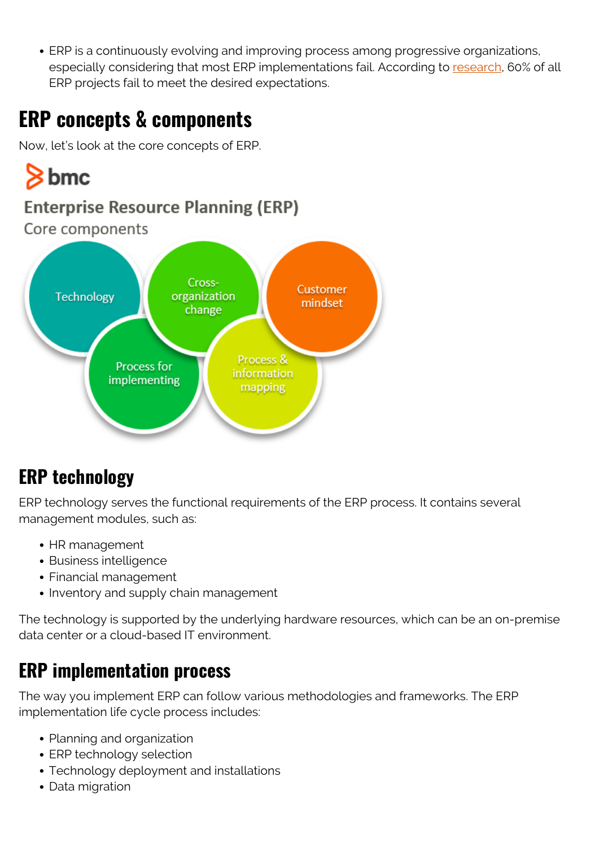ERP is a continuously evolving and improving process among progressive organizations, especially considering that most ERP implementations fail. According to [research,](https://www.erpfocus.com/ten-erp-failure-statistics.html) 60% of all ERP projects fail to meet the desired expectations.

# **ERP concepts & components**

Now, let's look at the core concepts of ERP.



# **ERP technology**

ERP technology serves the functional requirements of the ERP process. It contains several management modules, such as:

- HR management
- Business intelligence
- Financial management
- Inventory and supply chain management

The technology is supported by the underlying hardware resources, which can be an on-premise data center or a cloud-based IT environment.

#### **ERP implementation process**

The way you implement ERP can follow various methodologies and frameworks. The ERP implementation life cycle process includes:

- Planning and organization
- ERP technology selection
- Technology deployment and installations
- Data migration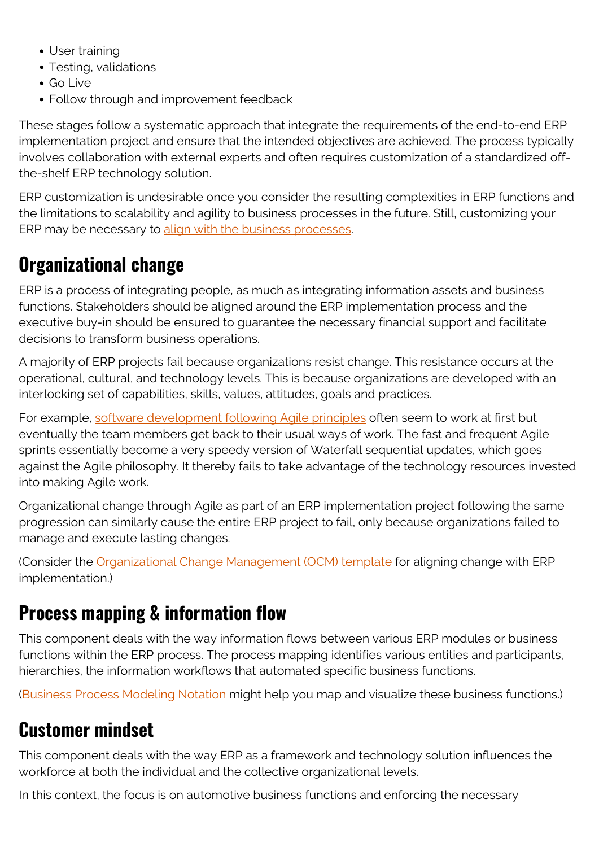- User training
- Testing, validations
- Go Live
- Follow through and improvement feedback

These stages follow a systematic approach that integrate the requirements of the end-to-end ERP implementation project and ensure that the intended objectives are achieved. The process typically involves collaboration with external experts and often requires customization of a standardized offthe-shelf ERP technology solution.

ERP customization is undesirable once you consider the resulting complexities in ERP functions and the limitations to scalability and agility to business processes in the future. Still, customizing your ERP may be necessary to [align with the business processes](https://blogs.bmc.com/blogs/it-business-alignment/).

#### **Organizational change**

ERP is a process of integrating people, as much as integrating information assets and business functions. Stakeholders should be aligned around the ERP implementation process and the executive buy-in should be ensured to guarantee the necessary financial support and facilitate decisions to transform business operations.

A majority of ERP projects fail because organizations resist change. This resistance occurs at the operational, cultural, and technology levels. This is because organizations are developed with an interlocking set of capabilities, skills, values, attitudes, goals and practices.

For example, [software development following Agile principles](https://blogs.bmc.com/blogs/agile-vs-waterfall/) often seem to work at first but eventually the team members get back to their usual ways of work. The fast and frequent Agile sprints essentially become a very speedy version of Waterfall sequential updates, which goes against the Agile philosophy. It thereby fails to take advantage of the technology resources invested into making Agile work.

Organizational change through Agile as part of an ERP implementation project following the same progression can similarly cause the entire ERP project to fail, only because organizations failed to manage and execute lasting changes.

(Consider the [Organizational Change Management \(OCM\) template](https://blogs.bmc.com/blogs/organizational-change-management/) for aligning change with ERP implementation.)

#### **Process mapping & information flow**

This component deals with the way information flows between various ERP modules or business functions within the ERP process. The process mapping identifies various entities and participants, hierarchies, the information workflows that automated specific business functions.

([Business Process Modeling Notation](https://blogs.bmc.com/blogs/bpmn-business-process-modeling-notation/) might help you map and visualize these business functions.)

#### **Customer mindset**

This component deals with the way ERP as a framework and technology solution influences the workforce at both the individual and the collective organizational levels.

In this context, the focus is on automotive business functions and enforcing the necessary